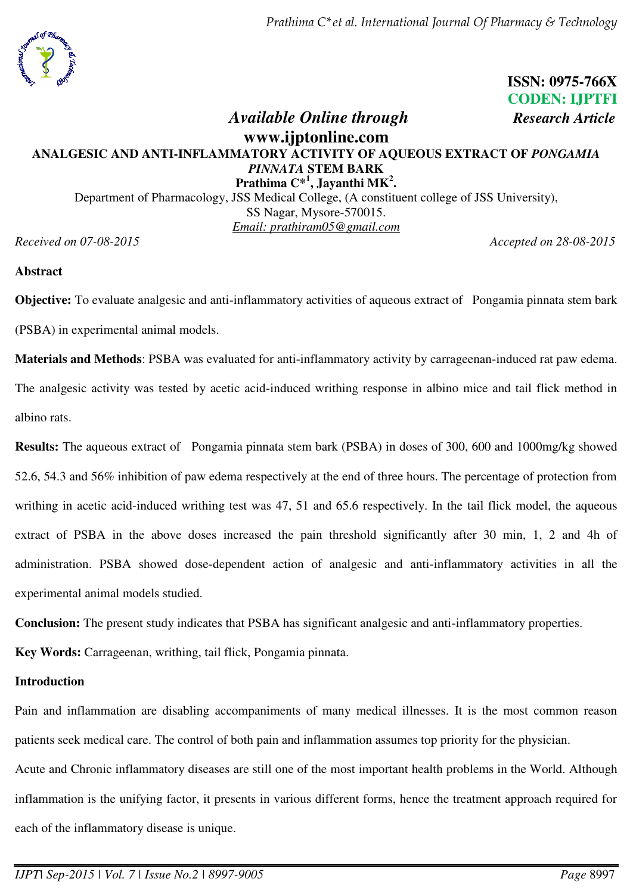*Prathima C\*et al. International Journal Of Pharmacy & Technology* 



 **ISSN: 0975-766X CODEN: IJPTFI** 

# *<i>Available Online through Research Article* **www.ijptonline.com ANALGESIC AND ANTI-INFLAMMATORY ACTIVITY OF AQUEOUS EXTRACT OF** *PONGAMIA PINNATA* **STEM BARK Prathima C\*<sup>1</sup> , Jayanthi MK<sup>2</sup> .**  Department of Pharmacology, JSS Medical College, (A constituent college of JSS University),

SS Nagar, Mysore-570015. *Email: [prathiram05@gmail.com](mailto:prathiram05@gmail.com) Received on 07-08-2015 Accepted on 28-08-2015*

## **Abstract**

**Objective:** To evaluate analgesic and anti-inflammatory activities of aqueous extract of Pongamia pinnata stem bark (PSBA) in experimental animal models.

**Materials and Methods**: PSBA was evaluated for anti-inflammatory activity by carrageenan-induced rat paw edema. The analgesic activity was tested by acetic acid-induced writhing response in albino mice and tail flick method in albino rats.

**Results:** The aqueous extract of Pongamia pinnata stem bark (PSBA) in doses of 300, 600 and 1000mg/kg showed 52.6, 54.3 and 56% inhibition of paw edema respectively at the end of three hours. The percentage of protection from writhing in acetic acid-induced writhing test was 47, 51 and 65.6 respectively. In the tail flick model, the aqueous extract of PSBA in the above doses increased the pain threshold significantly after 30 min, 1, 2 and 4h of administration. PSBA showed dose-dependent action of analgesic and anti-inflammatory activities in all the experimental animal models studied.

**Conclusion:** The present study indicates that PSBA has significant analgesic and anti-inflammatory properties.

**Key Words:** Carrageenan, writhing, tail flick, Pongamia pinnata.

# **Introduction**

Pain and inflammation are disabling accompaniments of many medical illnesses. It is the most common reason patients seek medical care. The control of both pain and inflammation assumes top priority for the physician.

Acute and Chronic inflammatory diseases are still one of the most important health problems in the World. Although inflammation is the unifying factor, it presents in various different forms, hence the treatment approach required for each of the inflammatory disease is unique.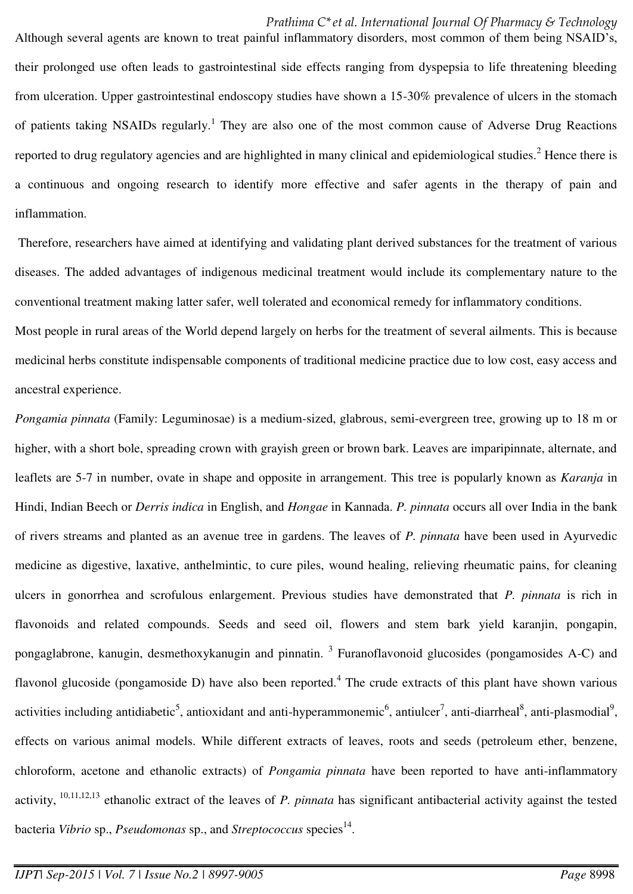Although several agents are known to treat painful inflammatory disorders, most common of them being NSAID's, their prolonged use often leads to gastrointestinal side effects ranging from dyspepsia to life threatening bleeding from ulceration. Upper gastrointestinal endoscopy studies have shown a 15-30% prevalence of ulcers in the stomach of patients taking NSAIDs regularly.<sup>1</sup> They are also one of the most common cause of Adverse Drug Reactions reported to drug regulatory agencies and are highlighted in many clinical and epidemiological studies.<sup>2</sup> Hence there is a continuous and ongoing research to identify more effective and safer agents in the therapy of pain and inflammation.

 Therefore, researchers have aimed at identifying and validating plant derived substances for the treatment of various diseases. The added advantages of indigenous medicinal treatment would include its complementary nature to the conventional treatment making latter safer, well tolerated and economical remedy for inflammatory conditions.

Most people in rural areas of the World depend largely on herbs for the treatment of several ailments. This is because medicinal herbs constitute indispensable components of traditional medicine practice due to low cost, easy access and ancestral experience.

*Pongamia pinnata* (Family: Leguminosae) is a medium-sized, glabrous, semi-evergreen tree, growing up to 18 m or higher, with a short bole, spreading crown with grayish green or brown bark. Leaves are imparipinnate, alternate, and leaflets are 5-7 in number, ovate in shape and opposite in arrangement. This tree is popularly known as *Karanja* in Hindi, Indian Beech or *Derris indica* in English, and *Hongae* in Kannada. *P. pinnata* occurs all over India in the bank of rivers streams and planted as an avenue tree in gardens. The leaves of *P. pinnata* have been used in Ayurvedic medicine as digestive, laxative, anthelmintic, to cure piles, wound healing, relieving rheumatic pains, for cleaning ulcers in gonorrhea and scrofulous enlargement. Previous studies have demonstrated that *P. pinnata* is rich in flavonoids and related compounds. Seeds and seed oil, flowers and stem bark yield karanjin, pongapin, pongaglabrone, kanugin, desmethoxykanugin and pinnatin. <sup>[3](http://www.ijaronline.com/article.asp?issn=0974-7788;year=2010;volume=1;issue=4;spage=199;epage=204;aulast=Sikarwar#ref11)</sup> Furanoflavonoid glucosides (pongamosides A-C) and flavonol glucoside (pongamoside D) have also been reported.<sup>4</sup> The crude extracts of this plant have shown various activities including antidiabetic<sup>5</sup>, antioxidant and anti-hyperammonemic<sup>6</sup>, antiulcer<sup>7</sup>, anti-diarrheal<sup>8</sup>, anti-plasmodial<sup>9</sup>, effects on various animal models. While different extracts of leaves, roots and seeds (petroleum ether, benzene, chloroform, acetone and ethanolic extracts) of *Pongamia pinnata* have been reported to have anti-inflammatory activity, 10,11,12,13 ethanolic extract of the leaves of *P. pinnata* has significant antibacterial activity against the tested bacteria *Vibrio* sp., *Pseudomonas* sp., and *Streptococcus* species<sup>14</sup>.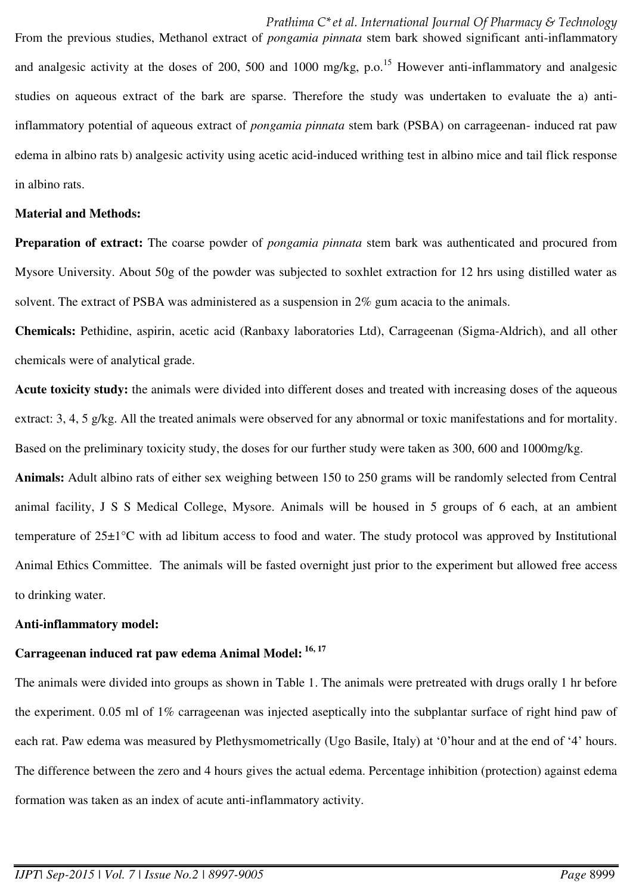From the previous studies, Methanol extract of *pongamia pinnata* stem bark showed significant anti-inflammatory and analgesic activity at the doses of 200, 500 and 1000 mg/kg, p.o.<sup>15</sup> However anti-inflammatory and analgesic studies on aqueous extract of the bark are sparse. Therefore the study was undertaken to evaluate the a) antiinflammatory potential of aqueous extract of *pongamia pinnata* stem bark (PSBA) on carrageenan- induced rat paw edema in albino rats b) analgesic activity using acetic acid-induced writhing test in albino mice and tail flick response in albino rats.

#### **Material and Methods:**

**Preparation of extract:** The coarse powder of *pongamia pinnata* stem bark was authenticated and procured from Mysore University. About 50g of the powder was subjected to soxhlet extraction for 12 hrs using distilled water as solvent. The extract of PSBA was administered as a suspension in 2% gum acacia to the animals.

**Chemicals:** Pethidine, aspirin, acetic acid (Ranbaxy laboratories Ltd), Carrageenan (Sigma-Aldrich), and all other chemicals were of analytical grade.

**Acute toxicity study:** the animals were divided into different doses and treated with increasing doses of the aqueous extract: 3, 4, 5 g/kg. All the treated animals were observed for any abnormal or toxic manifestations and for mortality. Based on the preliminary toxicity study, the doses for our further study were taken as 300, 600 and 1000mg/kg.

**Animals:** Adult albino rats of either sex weighing between 150 to 250 grams will be randomly selected from Central animal facility, J S S Medical College, Mysore. Animals will be housed in 5 groups of 6 each, at an ambient temperature of 25±1°C with ad libitum access to food and water. The study protocol was approved by Institutional Animal Ethics Committee. The animals will be fasted overnight just prior to the experiment but allowed free access to drinking water.

#### **Anti-inflammatory model:**

#### **Carrageenan induced rat paw edema Animal Model: 16, 17**

The animals were divided into groups as shown in Table 1. The animals were pretreated with drugs orally 1 hr before the experiment. 0.05 ml of 1% carrageenan was injected aseptically into the subplantar surface of right hind paw of each rat. Paw edema was measured by Plethysmometrically (Ugo Basile, Italy) at '0'hour and at the end of '4' hours. The difference between the zero and 4 hours gives the actual edema. Percentage inhibition (protection) against edema formation was taken as an index of acute anti-inflammatory activity.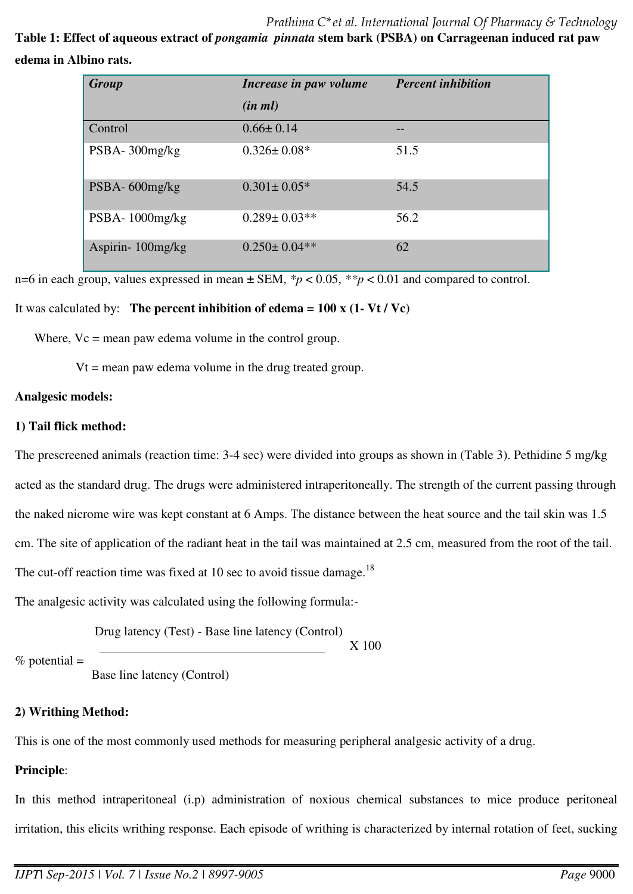**Table 1: Effect of aqueous extract of** *pongamia pinnata* **stem bark (PSBA) on Carrageenan induced rat paw edema in Albino rats.** 

| Group            | Increase in paw volume | <b>Percent inhibition</b> |
|------------------|------------------------|---------------------------|
|                  | (in ml)                |                           |
| Control          | $0.66 \pm 0.14$        |                           |
| PSBA-300mg/kg    | $0.326 \pm 0.08*$      | 51.5                      |
| PSBA-600mg/kg    | $0.301 \pm 0.05*$      | 54.5                      |
| PSBA-1000mg/kg   | $0.289 \pm 0.03$ **    | 56.2                      |
| Aspirin-100mg/kg | $0.250 \pm 0.04**$     | 62                        |

n=6 in each group, values expressed in mean **±** SEM, *\*p* < 0.05, *\*\*p* < 0.01 and compared to control.

## It was calculated by: **The percent inhibition of edema =**  $100 \times (1 - Vt / Vc)$

Where,  $Vc$  = mean paw edema volume in the control group.

 $Vt$  = mean paw edema volume in the drug treated group.

### **Analgesic models:**

### **1) Tail flick method:**

The prescreened animals (reaction time: 3-4 sec) were divided into groups as shown in (Table 3). Pethidine 5 mg/kg acted as the standard drug. The drugs were administered intraperitoneally. The strength of the current passing through the naked nicrome wire was kept constant at 6 Amps. The distance between the heat source and the tail skin was 1.5 cm. The site of application of the radiant heat in the tail was maintained at 2.5 cm, measured from the root of the tail. The cut-off reaction time was fixed at 10 sec to avoid tissue damage.<sup>18</sup>

The analgesic activity was calculated using the following formula:-

Drug latency (Test) - Base line latency (Control)

 $X$  100

 $%$  potential =

Base line latency (Control)

### **2) Writhing Method:**

This is one of the most commonly used methods for measuring peripheral analgesic activity of a drug.

# **Principle**:

In this method intraperitoneal (i.p) administration of noxious chemical substances to mice produce peritoneal irritation, this elicits writhing response. Each episode of writhing is characterized by internal rotation of feet, sucking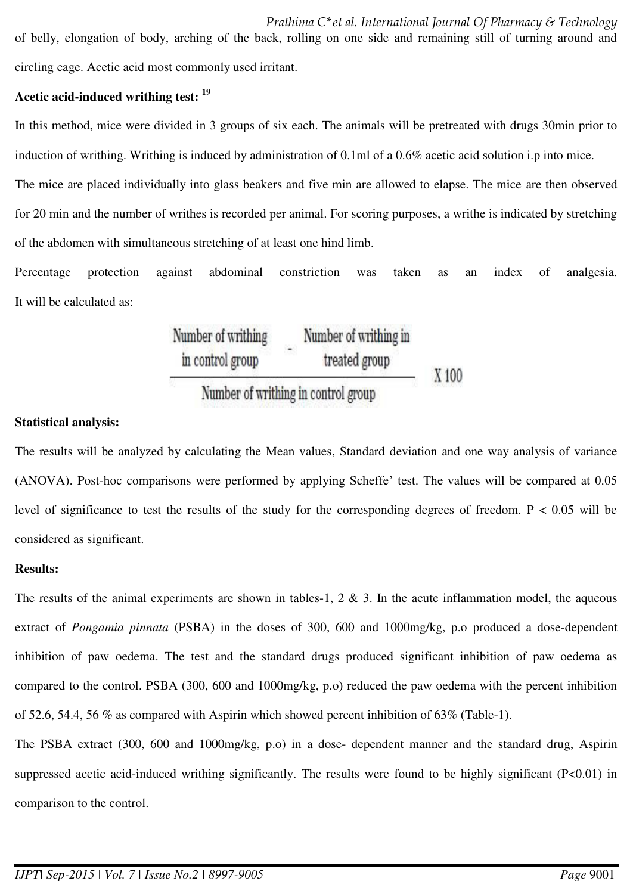of belly, elongation of body, arching of the back, rolling on one side and remaining still of turning around and circling cage. Acetic acid most commonly used irritant.

# **Acetic acid-induced writhing test: <sup>19</sup>**

In this method, mice were divided in 3 groups of six each. The animals will be pretreated with drugs 30min prior to induction of writhing. Writhing is induced by administration of 0.1ml of a 0.6% acetic acid solution i.p into mice.

The mice are placed individually into glass beakers and five min are allowed to elapse. The mice are then observed for 20 min and the number of writhes is recorded per animal. For scoring purposes, a writhe is indicated by stretching of the abdomen with simultaneous stretching of at least one hind limb.

Percentage protection against abdominal constriction was taken as an index of analgesia. It will be calculated as:

### **Statistical analysis:**

The results will be analyzed by calculating the Mean values, Standard deviation and one way analysis of variance (ANOVA). Post-hoc comparisons were performed by applying Scheffe' test. The values will be compared at 0.05 level of significance to test the results of the study for the corresponding degrees of freedom. P < 0.05 will be considered as significant.

### **Results:**

The results of the animal experiments are shown in tables-1, 2  $\&$  3. In the acute inflammation model, the aqueous extract of *Pongamia pinnata* (PSBA) in the doses of 300, 600 and 1000mg/kg, p.o produced a dose-dependent inhibition of paw oedema. The test and the standard drugs produced significant inhibition of paw oedema as compared to the control. PSBA (300, 600 and 1000mg/kg, p.o) reduced the paw oedema with the percent inhibition of 52.6, 54.4, 56 % as compared with Aspirin which showed percent inhibition of 63% (Table-1).

The PSBA extract (300, 600 and 1000mg/kg, p.o) in a dose- dependent manner and the standard drug, Aspirin suppressed acetic acid-induced writhing significantly. The results were found to be highly significant (P<0.01) in comparison to the control.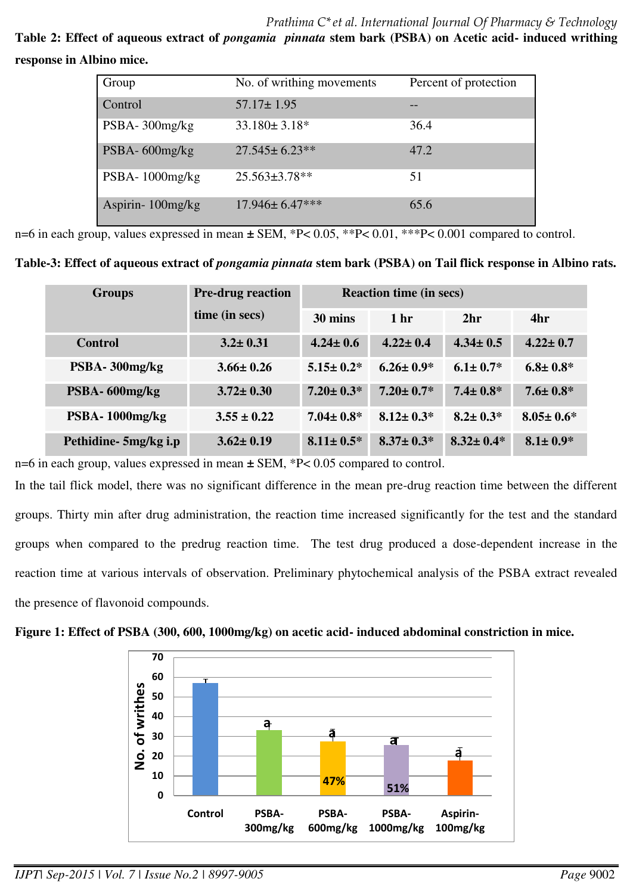**Table 2: Effect of aqueous extract of** *pongamia pinnata* **stem bark (PSBA) on Acetic acid- induced writhing response in Albino mice.** 

| Group            | No. of writhing movements | Percent of protection |
|------------------|---------------------------|-----------------------|
| Control          | $57.17 \pm 1.95$          |                       |
| PSBA-300mg/kg    | $33.180 \pm 3.18^*$       | 36.4                  |
| PSBA-600mg/kg    | $27.545 \pm 6.23**$       | 47.2                  |
| $PSBA-1000mg/kg$ | $25.563 \pm 3.78**$       | 51                    |
| Aspirin-100mg/kg | $17.946 \pm 6.47***$      | 65.6                  |

n=6 in each group, values expressed in mean **±** SEM, \*P< 0.05, \*\*P< 0.01, \*\*\*P< 0.001 compared to control.

**Table-3: Effect of aqueous extract of** *pongamia pinnata* **stem bark (PSBA) on Tail flick response in Albino rats.** 

| <b>Groups</b>         | <b>Pre-drug reaction</b><br>time (in secs) | <b>Reaction time (in secs)</b> |                  |                 |                  |
|-----------------------|--------------------------------------------|--------------------------------|------------------|-----------------|------------------|
|                       |                                            | 30 mins                        | 1 <sub>hr</sub>  | 2 <sub>hr</sub> | 4hr              |
| Control               | $3.2 \pm 0.31$                             | $4.24 \pm 0.6$                 | $4.22 \pm 0.4$   | $4.34 \pm 0.5$  | $4.22 \pm 0.7$   |
| PSBA-300mg/kg         | $3.66 \pm 0.26$                            | $5.15 \pm 0.2^*$               | $6.26 + 0.9*$    | $6.1 \pm 0.7^*$ | $6.8 \pm 0.8^*$  |
| PSBA-600mg/kg         | $3.72 \pm 0.30$                            | $7.20 \pm 0.3^*$               | $7.20 \pm 0.7^*$ | $7.4 \pm 0.8^*$ | $7.6 \pm 0.8^*$  |
| PSBA-1000mg/kg        | $3.55 \pm 0.22$                            | $7.04 + 0.8*$                  | $8.12 + 0.3*$    | $8.2 + 0.3*$    | $8.05 \pm 0.6^*$ |
| Pethidine- 5mg/kg i.p | $3.62 \pm 0.19$                            | $8.11 \pm 0.5^*$               | $8.37 \pm 0.3*$  | $8.32 \pm 0.4*$ | $8.1 \pm 0.9*$   |

n=6 in each group, values expressed in mean **±** SEM, \*P< 0.05 compared to control.

In the tail flick model, there was no significant difference in the mean pre-drug reaction time between the different groups. Thirty min after drug administration, the reaction time increased significantly for the test and the standard groups when compared to the predrug reaction time. The test drug produced a dose-dependent increase in the reaction time at various intervals of observation. Preliminary phytochemical analysis of the PSBA extract revealed the presence of flavonoid compounds.



**Figure 1: Effect of PSBA (300, 600, 1000mg/kg) on acetic acid- induced abdominal constriction in mice.**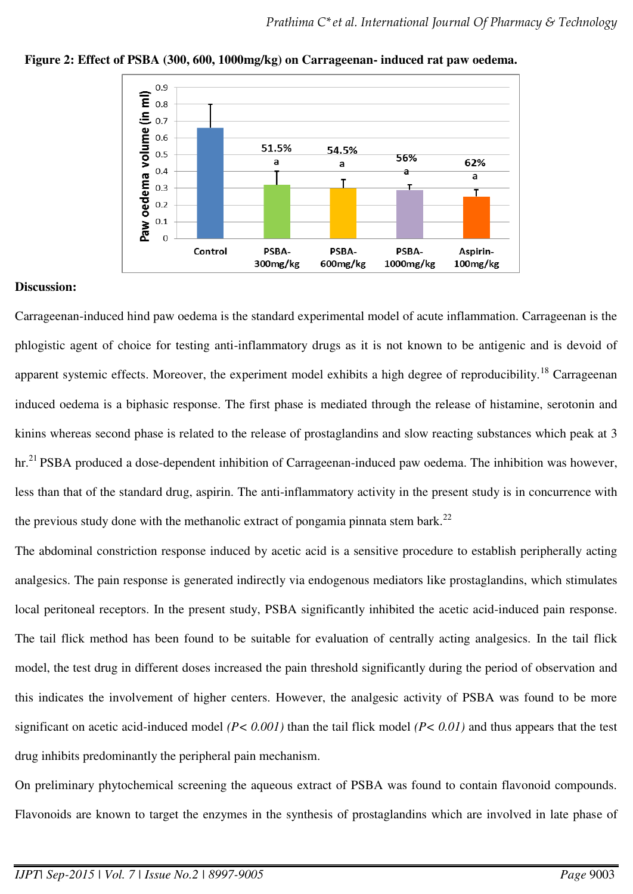

**Figure 2: Effect of PSBA (300, 600, 1000mg/kg) on Carrageenan- induced rat paw oedema.** 

#### **Discussion:**

Carrageenan-induced hind paw oedema is the standard experimental model of acute inflammation. Carrageenan is the phlogistic agent of choice for testing anti-inflammatory drugs as it is not known to be antigenic and is devoid of apparent systemic effects. Moreover, the experiment model exhibits a high degree of reproducibility.<sup>18</sup> Carrageenan induced oedema is a biphasic response. The first phase is mediated through the release of histamine, serotonin and kinins whereas second phase is related to the release of prostaglandins and slow reacting substances which peak at 3 hr.<sup>21</sup> PSBA produced a dose-dependent inhibition of Carrageenan-induced paw oedema. The inhibition was however, less than that of the standard drug, aspirin. The anti-inflammatory activity in the present study is in concurrence with the previous study done with the methanolic extract of pongamia pinnata stem bark.<sup>22</sup>

The abdominal constriction response induced by acetic acid is a sensitive procedure to establish peripherally acting analgesics. The pain response is generated indirectly via endogenous mediators like prostaglandins, which stimulates local peritoneal receptors. In the present study, PSBA significantly inhibited the acetic acid-induced pain response. The tail flick method has been found to be suitable for evaluation of centrally acting analgesics. In the tail flick model, the test drug in different doses increased the pain threshold significantly during the period of observation and this indicates the involvement of higher centers. However, the analgesic activity of PSBA was found to be more significant on acetic acid-induced model *(P< 0.001)* than the tail flick model *(P< 0.01)* and thus appears that the test drug inhibits predominantly the peripheral pain mechanism.

On preliminary phytochemical screening the aqueous extract of PSBA was found to contain flavonoid compounds. Flavonoids are known to target the enzymes in the synthesis of prostaglandins which are involved in late phase of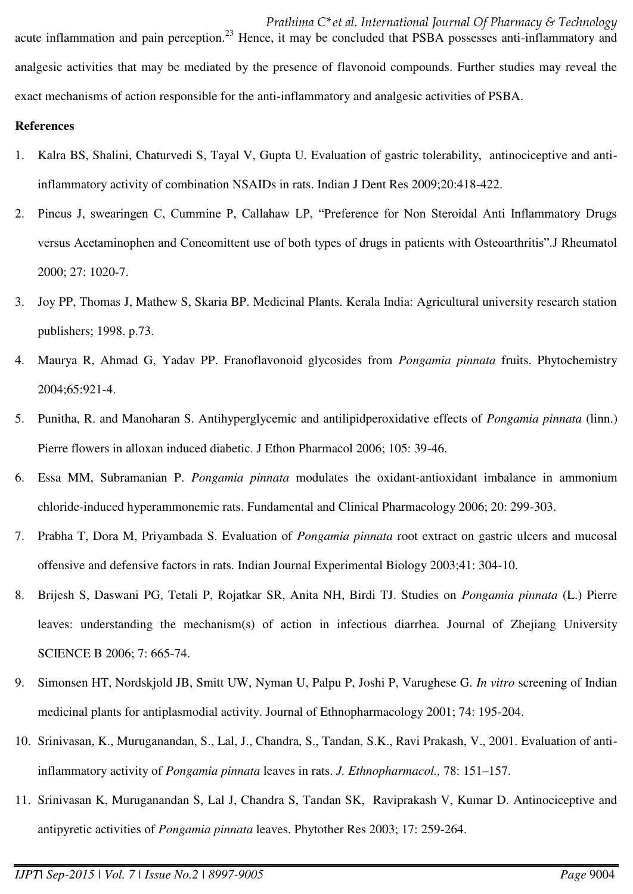*Prathima C\*et al. International Journal Of Pharmacy & Technology*  acute inflammation and pain perception.<sup>23</sup> Hence, it may be concluded that PSBA possesses anti-inflammatory and analgesic activities that may be mediated by the presence of flavonoid compounds. Further studies may reveal the exact mechanisms of action responsible for the anti-inflammatory and analgesic activities of PSBA.

### **References**

- 1. Kalra BS, Shalini, Chaturvedi S, Tayal V, Gupta U. Evaluation of gastric tolerability, antinociceptive and antiinflammatory activity of combination NSAIDs in rats. Indian J Dent Res 2009;20:418-422.
- 2. Pincus J, swearingen C, Cummine P, Callahaw LP, "Preference for Non Steroidal Anti Inflammatory Drugs versus Acetaminophen and Concomittent use of both types of drugs in patients with Osteoarthritis".J Rheumatol 2000; 27: 1020-7.
- 3. Joy PP, Thomas J, Mathew S, Skaria BP. Medicinal Plants. Kerala India: Agricultural university research station publishers; 1998. p.73.
- 4. Maurya R, Ahmad G, Yadav PP. Franoflavonoid glycosides from *Pongamia pinnata* fruits. Phytochemistry 2004;65:921-4.
- 5. Punitha, R. and Manoharan S. Antihyperglycemic and antilipidperoxidative effects of *Pongamia pinnata* (linn.) Pierre flowers in alloxan induced diabetic. J Ethon Pharmacol 2006; 105: 39-46.
- 6. Essa MM, Subramanian P. *Pongamia pinnata* modulates the oxidant-antioxidant imbalance in ammonium chloride-induced hyperammonemic rats. Fundamental and Clinical Pharmacology 2006; 20: 299-303.
- 7. Prabha T, Dora M, Priyambada S. Evaluation of *Pongamia pinnata* root extract on gastric ulcers and mucosal offensive and defensive factors in rats. Indian Journal Experimental Biology 2003;41: 304-10.
- 8. Brijesh S, Daswani PG, Tetali P, Rojatkar SR, Anita NH, Birdi TJ. Studies on *Pongamia pinnata* (L.) Pierre leaves: understanding the mechanism(s) of action in infectious diarrhea. Journal of Zhejiang University SCIENCE B 2006; 7: 665-74.
- 9. Simonsen HT, Nordskjold JB, Smitt UW, Nyman U, Palpu P, Joshi P, Varughese G. *In vitro* screening of Indian medicinal plants for antiplasmodial activity. Journal of Ethnopharmacology 2001; 74: 195-204.
- 10. Srinivasan, K., Muruganandan, S., Lal, J., Chandra, S., Tandan, S.K., Ravi Prakash, V., 2001. Evaluation of antiinflammatory activity of *Pongamia pinnata* leaves in rats. *J. Ethnopharmacol.,* 78: 151–157.
- 11. Srinivasan K, Muruganandan S, Lal J, Chandra S, Tandan SK, Raviprakash V, Kumar D. Antinociceptive and antipyretic activities of *Pongamia pinnata* leaves. Phytother Res 2003; 17: 259-264.